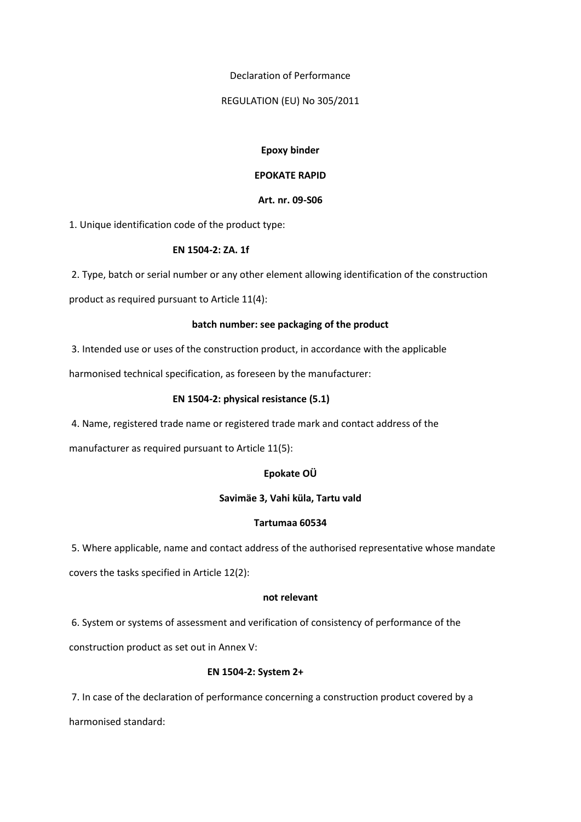#### Declaration of Performance

#### REGULATION (EU) No 305/2011

### **Epoxy binder**

## **EPOKATE RAPID**

## **Art. nr. 09-S06**

1. Unique identification code of the product type:

## **EN 1504-2: ZA. 1f**

2. Type, batch or serial number or any other element allowing identification of the construction

product as required pursuant to Article 11(4):

## **batch number: see packaging of the product**

3. Intended use or uses of the construction product, in accordance with the applicable

harmonised technical specification, as foreseen by the manufacturer:

## **EN 1504-2: physical resistance (5.1)**

4. Name, registered trade name or registered trade mark and contact address of the

manufacturer as required pursuant to Article 11(5):

## **Epokate OÜ**

# **Savimäe 3, Vahi küla, Tartu vald**

## **Tartumaa 60534**

5. Where applicable, name and contact address of the authorised representative whose mandate covers the tasks specified in Article 12(2):

### **not relevant**

6. System or systems of assessment and verification of consistency of performance of the

construction product as set out in Annex V:

# **EN 1504-2: System 2+**

7. In case of the declaration of performance concerning a construction product covered by a harmonised standard: